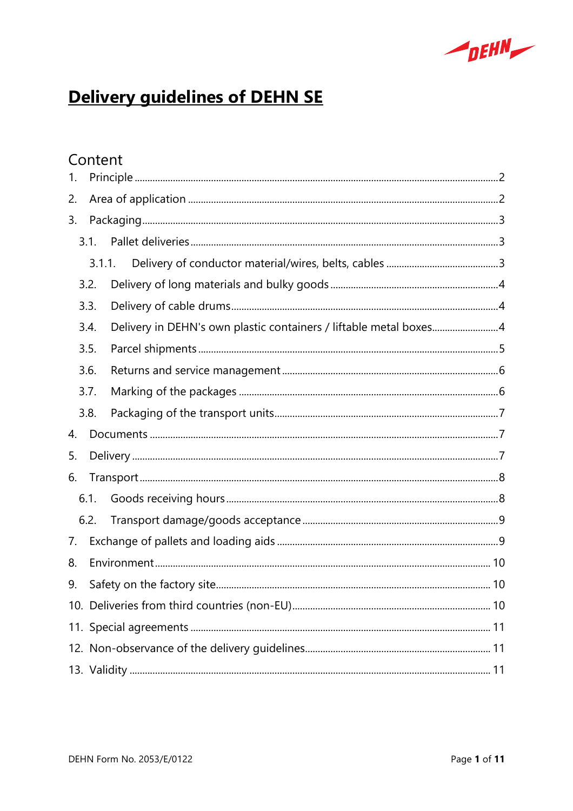

# **Delivery guidelines of DEHN SE**

# Content

| 1. |        |                                                                   |  |  |
|----|--------|-------------------------------------------------------------------|--|--|
| 2. |        |                                                                   |  |  |
| 3. |        |                                                                   |  |  |
|    | 3.1.   |                                                                   |  |  |
|    | 3.1.1. |                                                                   |  |  |
|    | 3.2.   |                                                                   |  |  |
|    | 3.3.   |                                                                   |  |  |
|    | 3.4.   | Delivery in DEHN's own plastic containers / liftable metal boxes4 |  |  |
|    | 3.5.   |                                                                   |  |  |
|    | 3.6.   |                                                                   |  |  |
|    | 3.7.   |                                                                   |  |  |
|    | 3.8.   |                                                                   |  |  |
| 4. |        |                                                                   |  |  |
| 5. |        |                                                                   |  |  |
| 6. |        |                                                                   |  |  |
|    | 6.1.   |                                                                   |  |  |
|    | 6.2.   |                                                                   |  |  |
| 7. |        |                                                                   |  |  |
| 8. |        |                                                                   |  |  |
| 9. |        |                                                                   |  |  |
|    |        |                                                                   |  |  |
|    |        |                                                                   |  |  |
|    |        |                                                                   |  |  |
|    |        |                                                                   |  |  |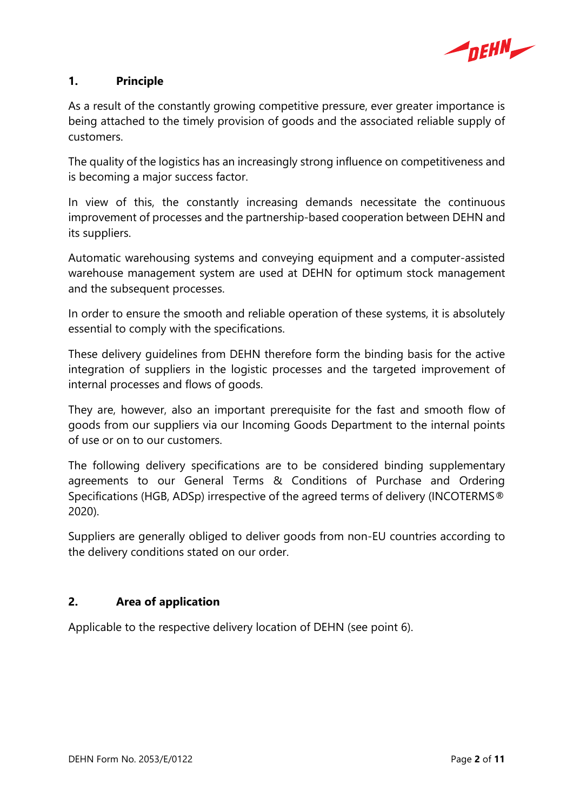

# **1. Principle**

As a result of the constantly growing competitive pressure, ever greater importance is being attached to the timely provision of goods and the associated reliable supply of customers.

The quality of the logistics has an increasingly strong influence on competitiveness and is becoming a major success factor.

In view of this, the constantly increasing demands necessitate the continuous improvement of processes and the partnership-based cooperation between DEHN and its suppliers.

Automatic warehousing systems and conveying equipment and a computer-assisted warehouse management system are used at DEHN for optimum stock management and the subsequent processes.

In order to ensure the smooth and reliable operation of these systems, it is absolutely essential to comply with the specifications.

These delivery guidelines from DEHN therefore form the binding basis for the active integration of suppliers in the logistic processes and the targeted improvement of internal processes and flows of goods.

They are, however, also an important prerequisite for the fast and smooth flow of goods from our suppliers via our Incoming Goods Department to the internal points of use or on to our customers.

The following delivery specifications are to be considered binding supplementary agreements to our General Terms & Conditions of Purchase and Ordering Specifications (HGB, ADSp) irrespective of the agreed terms of delivery (INCOTERMS® 2020).

Suppliers are generally obliged to deliver goods from non-EU countries according to the delivery conditions stated on our order.

# **2. Area of application**

Applicable to the respective delivery location of DEHN (see point 6).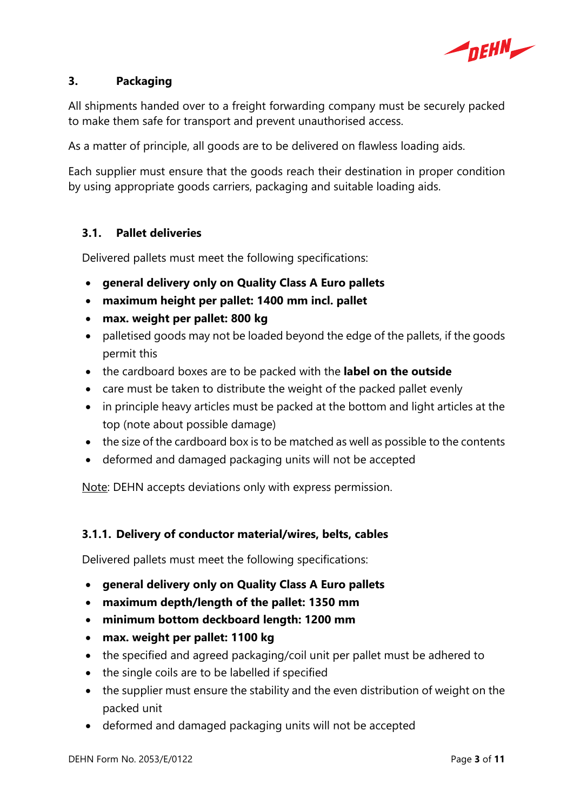

# **3. Packaging**

All shipments handed over to a freight forwarding company must be securely packed to make them safe for transport and prevent unauthorised access.

As a matter of principle, all goods are to be delivered on flawless loading aids.

Each supplier must ensure that the goods reach their destination in proper condition by using appropriate goods carriers, packaging and suitable loading aids.

# **3.1. Pallet deliveries**

Delivered pallets must meet the following specifications:

- **general delivery only on Quality Class A Euro pallets**
- **maximum height per pallet: 1400 mm incl. pallet**
- **max. weight per pallet: 800 kg**
- palletised goods may not be loaded beyond the edge of the pallets, if the goods permit this
- the cardboard boxes are to be packed with the **label on the outside**
- care must be taken to distribute the weight of the packed pallet evenly
- in principle heavy articles must be packed at the bottom and light articles at the top (note about possible damage)
- the size of the cardboard box is to be matched as well as possible to the contents
- deformed and damaged packaging units will not be accepted

Note: DEHN accepts deviations only with express permission.

#### **3.1.1. Delivery of conductor material/wires, belts, cables**

Delivered pallets must meet the following specifications:

- **general delivery only on Quality Class A Euro pallets**
- **maximum depth/length of the pallet: 1350 mm**
- **minimum bottom deckboard length: 1200 mm**
- **max. weight per pallet: 1100 kg**
- the specified and agreed packaging/coil unit per pallet must be adhered to
- the single coils are to be labelled if specified
- the supplier must ensure the stability and the even distribution of weight on the packed unit
- deformed and damaged packaging units will not be accepted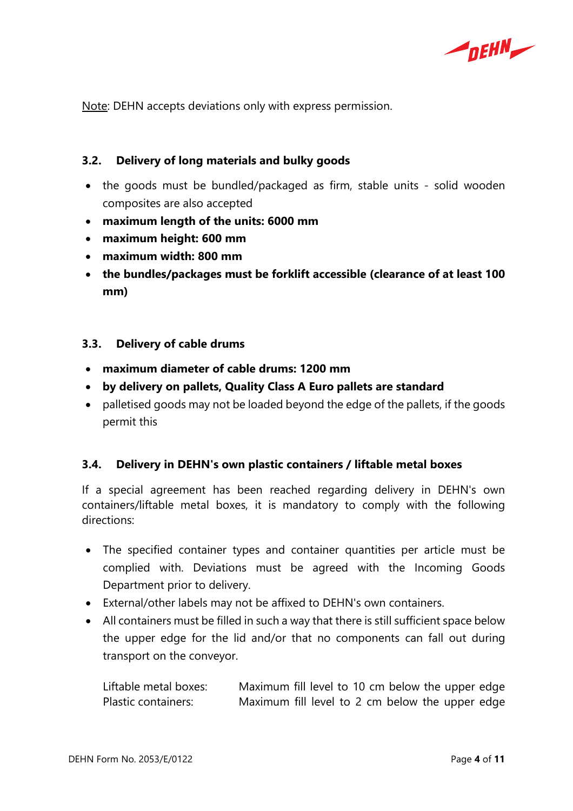

Note: DEHN accepts deviations only with express permission.

#### **3.2. Delivery of long materials and bulky goods**

- the goods must be bundled/packaged as firm, stable units solid wooden composites are also accepted
- **maximum length of the units: 6000 mm**
- **maximum height: 600 mm**
- **maximum width: 800 mm**
- **the bundles/packages must be forklift accessible (clearance of at least 100 mm)**

#### **3.3. Delivery of cable drums**

- **maximum diameter of cable drums: 1200 mm**
- **by delivery on pallets, Quality Class A Euro pallets are standard**
- palletised goods may not be loaded beyond the edge of the pallets, if the goods permit this

#### **3.4. Delivery in DEHN's own plastic containers / liftable metal boxes**

If a special agreement has been reached regarding delivery in DEHN's own containers/liftable metal boxes, it is mandatory to comply with the following directions:

- The specified container types and container quantities per article must be complied with. Deviations must be agreed with the Incoming Goods Department prior to delivery.
- External/other labels may not be affixed to DEHN's own containers.
- All containers must be filled in such a way that there is still sufficient space below the upper edge for the lid and/or that no components can fall out during transport on the conveyor.

Liftable metal boxes: Maximum fill level to 10 cm below the upper edge Plastic containers: Maximum fill level to 2 cm below the upper edge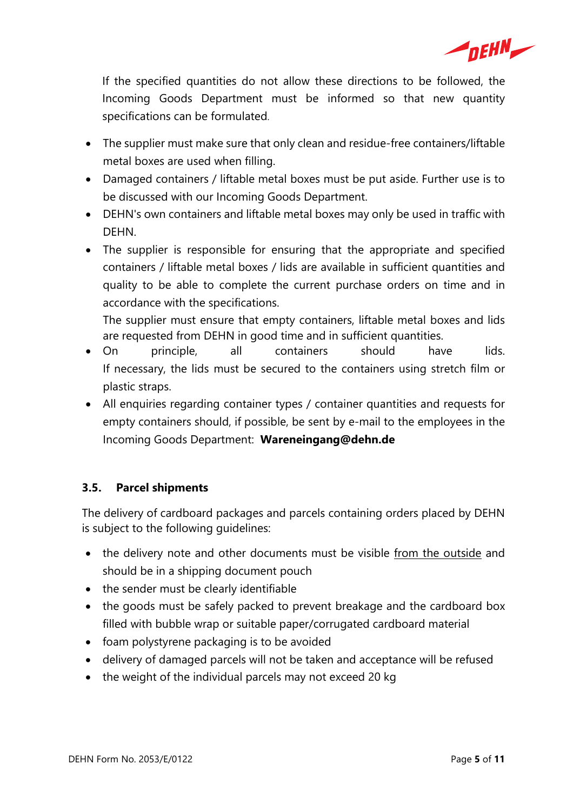

If the specified quantities do not allow these directions to be followed, the Incoming Goods Department must be informed so that new quantity specifications can be formulated.

- The supplier must make sure that only clean and residue-free containers/liftable metal boxes are used when filling.
- Damaged containers / liftable metal boxes must be put aside. Further use is to be discussed with our Incoming Goods Department.
- DEHN's own containers and liftable metal boxes may only be used in traffic with DEHN.
- The supplier is responsible for ensuring that the appropriate and specified containers / liftable metal boxes / lids are available in sufficient quantities and quality to be able to complete the current purchase orders on time and in accordance with the specifications.

The supplier must ensure that empty containers, liftable metal boxes and lids are requested from DEHN in good time and in sufficient quantities.

- On principle, all containers should have lids. If necessary, the lids must be secured to the containers using stretch film or plastic straps.
- All enquiries regarding container types / container quantities and requests for empty containers should, if possible, be sent by e-mail to the employees in the Incoming Goods Department: **Wareneingang@dehn.de**

# **3.5. Parcel shipments**

The delivery of cardboard packages and parcels containing orders placed by DEHN is subject to the following guidelines:

- the delivery note and other documents must be visible from the outside and should be in a shipping document pouch
- the sender must be clearly identifiable
- the goods must be safely packed to prevent breakage and the cardboard box filled with bubble wrap or suitable paper/corrugated cardboard material
- foam polystyrene packaging is to be avoided
- delivery of damaged parcels will not be taken and acceptance will be refused
- the weight of the individual parcels may not exceed 20 kg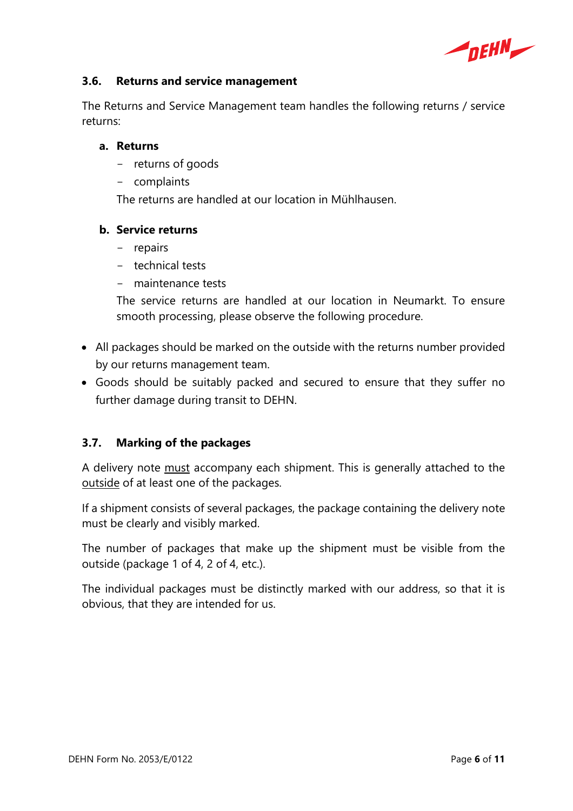

#### **3.6. Returns and service management**

The Returns and Service Management team handles the following returns / service returns:

#### **a. Returns**

- returns of goods
- complaints

The returns are handled at our location in Mühlhausen.

#### **b. Service returns**

- repairs
- technical tests
- maintenance tests

The service returns are handled at our location in Neumarkt. To ensure smooth processing, please observe the following procedure.

- All packages should be marked on the outside with the returns number provided by our returns management team.
- Goods should be suitably packed and secured to ensure that they suffer no further damage during transit to DEHN.

# **3.7. Marking of the packages**

A delivery note must accompany each shipment. This is generally attached to the outside of at least one of the packages.

If a shipment consists of several packages, the package containing the delivery note must be clearly and visibly marked.

The number of packages that make up the shipment must be visible from the outside (package 1 of 4, 2 of 4, etc.).

The individual packages must be distinctly marked with our address, so that it is obvious, that they are intended for us.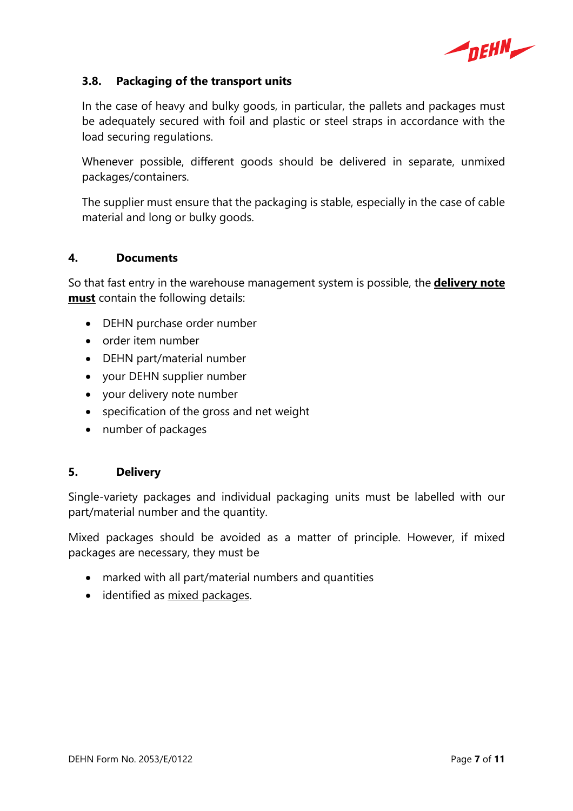$\blacktriangleleft$ <sub>DEHN</sub>

#### **3.8. Packaging of the transport units**

In the case of heavy and bulky goods, in particular, the pallets and packages must be adequately secured with foil and plastic or steel straps in accordance with the load securing regulations.

Whenever possible, different goods should be delivered in separate, unmixed packages/containers.

The supplier must ensure that the packaging is stable, especially in the case of cable material and long or bulky goods.

#### **4. Documents**

So that fast entry in the warehouse management system is possible, the **delivery note must** contain the following details:

- DEHN purchase order number
- order item number
- DEHN part/material number
- your DEHN supplier number
- your delivery note number
- specification of the gross and net weight
- number of packages

#### **5. Delivery**

Single-variety packages and individual packaging units must be labelled with our part/material number and the quantity.

Mixed packages should be avoided as a matter of principle. However, if mixed packages are necessary, they must be

- marked with all part/material numbers and quantities
- identified as mixed packages.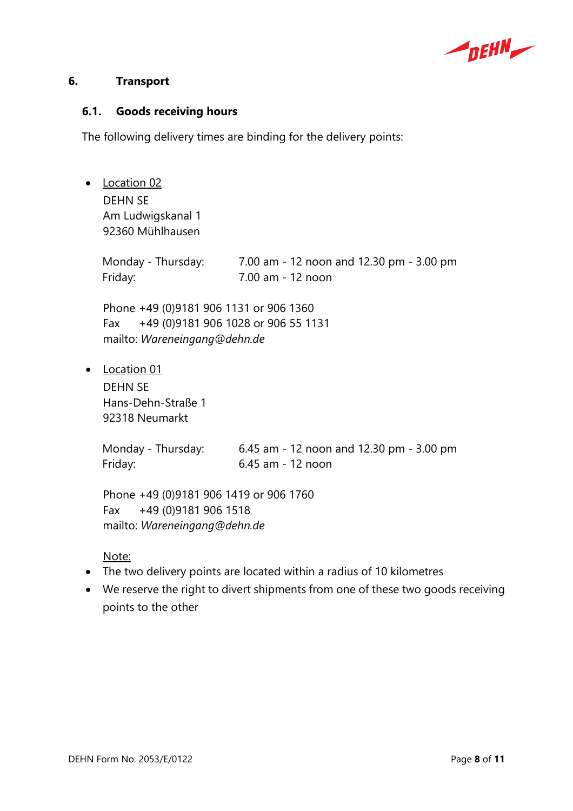

#### **6. Transport**

#### **6.1. Goods receiving hours**

The following delivery times are binding for the delivery points:

• Location 02 DEHN SE Am Ludwigskanal 1 92360 Mühlhausen Monday - Thursday: 7.00 am - 12 noon and 12.30 pm - 3.00 pm Friday: 7.00 am - 12 noon Phone +49 (0)9181 906 1131 or 906 1360 Fax +49 (0)9181 906 1028 or 906 55 1131 mailto: *Wareneingang@dehn.de*  • Location 01 DEHN SE Hans-Dehn-Straße 1 92318 Neumarkt Monday - Thursday: 6.45 am - 12 noon and 12.30 pm - 3.00 pm Friday: 6.45 am - 12 noon Phone +49 (0)9181 906 1419 or 906 1760

Fax +49 (0)9181 906 1518 mailto: *Wareneingang@dehn.de* 

#### Note:

- The two delivery points are located within a radius of 10 kilometres
- We reserve the right to divert shipments from one of these two goods receiving points to the other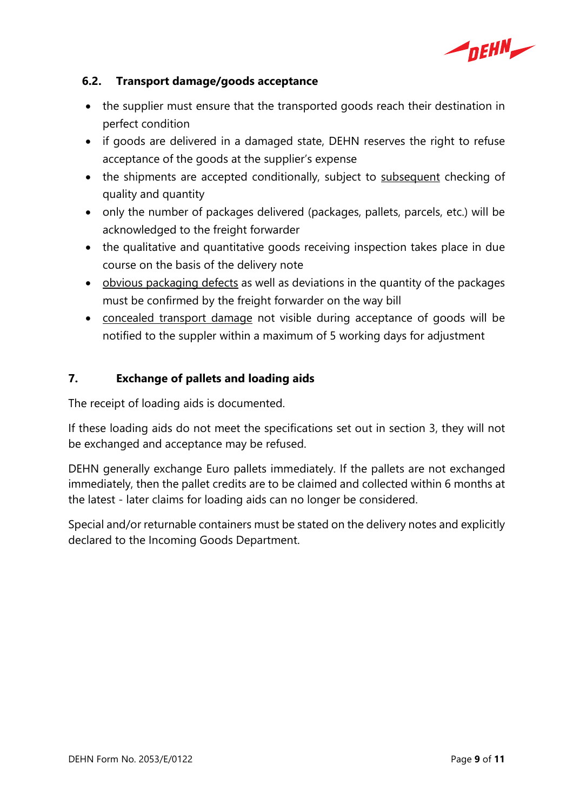

# **6.2. Transport damage/goods acceptance**

- the supplier must ensure that the transported goods reach their destination in perfect condition
- if goods are delivered in a damaged state, DEHN reserves the right to refuse acceptance of the goods at the supplier's expense
- the shipments are accepted conditionally, subject to subsequent checking of quality and quantity
- only the number of packages delivered (packages, pallets, parcels, etc.) will be acknowledged to the freight forwarder
- the qualitative and quantitative goods receiving inspection takes place in due course on the basis of the delivery note
- obvious packaging defects as well as deviations in the quantity of the packages must be confirmed by the freight forwarder on the way bill
- concealed transport damage not visible during acceptance of goods will be notified to the suppler within a maximum of 5 working days for adjustment

# **7. Exchange of pallets and loading aids**

The receipt of loading aids is documented.

If these loading aids do not meet the specifications set out in section 3, they will not be exchanged and acceptance may be refused.

DEHN generally exchange Euro pallets immediately. If the pallets are not exchanged immediately, then the pallet credits are to be claimed and collected within 6 months at the latest - later claims for loading aids can no longer be considered.

Special and/or returnable containers must be stated on the delivery notes and explicitly declared to the Incoming Goods Department.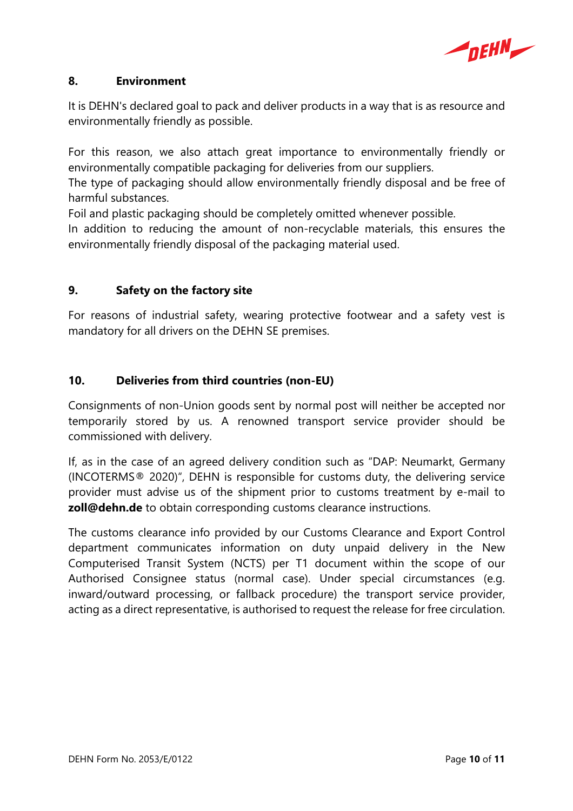

#### **8. Environment**

It is DEHN's declared goal to pack and deliver products in a way that is as resource and environmentally friendly as possible.

For this reason, we also attach great importance to environmentally friendly or environmentally compatible packaging for deliveries from our suppliers.

The type of packaging should allow environmentally friendly disposal and be free of harmful substances.

Foil and plastic packaging should be completely omitted whenever possible.

In addition to reducing the amount of non-recyclable materials, this ensures the environmentally friendly disposal of the packaging material used.

# **9. Safety on the factory site**

For reasons of industrial safety, wearing protective footwear and a safety vest is mandatory for all drivers on the DEHN SE premises.

# **10. Deliveries from third countries (non-EU)**

Consignments of non-Union goods sent by normal post will neither be accepted nor temporarily stored by us. A renowned transport service provider should be commissioned with delivery.

If, as in the case of an agreed delivery condition such as "DAP: Neumarkt, Germany (INCOTERMS® 2020)", DEHN is responsible for customs duty, the delivering service provider must advise us of the shipment prior to customs treatment by e-mail to **zoll@dehn.de** to obtain corresponding customs clearance instructions.

The customs clearance info provided by our Customs Clearance and Export Control department communicates information on duty unpaid delivery in the New Computerised Transit System (NCTS) per T1 document within the scope of our Authorised Consignee status (normal case). Under special circumstances (e.g. inward/outward processing, or fallback procedure) the transport service provider, acting as a direct representative, is authorised to request the release for free circulation.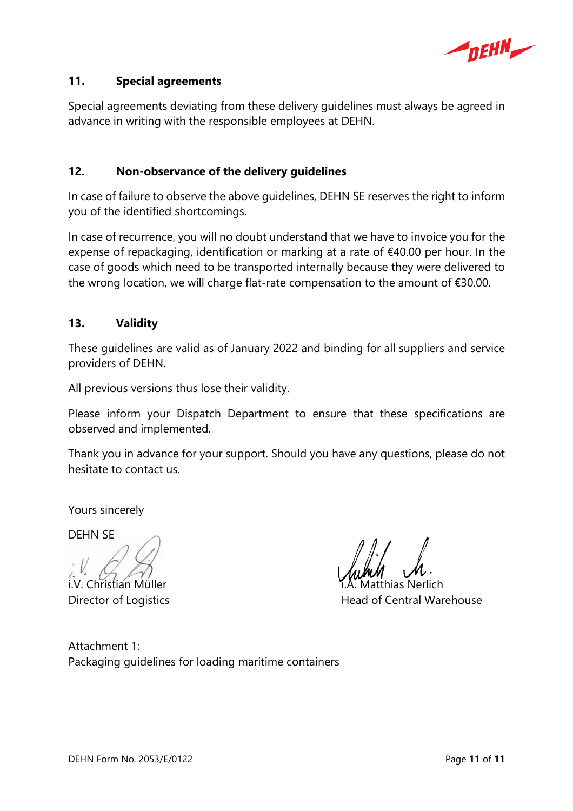

#### **11. Special agreements**

Special agreements deviating from these delivery guidelines must always be agreed in advance in writing with the responsible employees at DEHN.

#### **12. Non-observance of the delivery guidelines**

In case of failure to observe the above guidelines, DEHN SE reserves the right to inform you of the identified shortcomings.

In case of recurrence, you will no doubt understand that we have to invoice you for the expense of repackaging, identification or marking at a rate of €40.00 per hour. In the case of goods which need to be transported internally because they were delivered to the wrong location, we will charge flat-rate compensation to the amount of €30.00.

#### **13. Validity**

These guidelines are valid as of January 2022 and binding for all suppliers and service providers of DEHN.

All previous versions thus lose their validity.

Please inform your Dispatch Department to ensure that these specifications are observed and implemented.

Thank you in advance for your support. Should you have any questions, please do not hesitate to contact us.

Yours sincerely

DEHN SE

i.V. Christian Müller i.A. Matthias Nerlich Director of Logistics **Head of Central Warehouse** 

Attachment 1: Packaging guidelines for loading maritime containers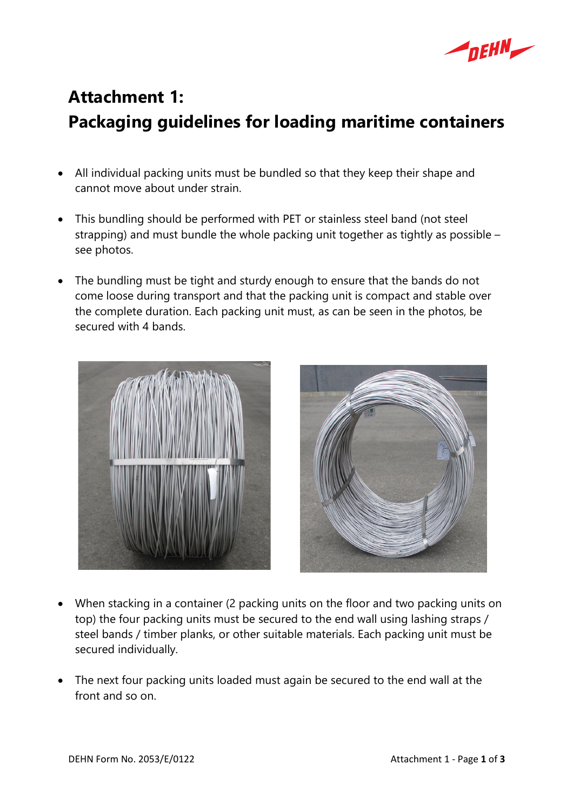

# **Attachment 1: Packaging guidelines for loading maritime containers**

- All individual packing units must be bundled so that they keep their shape and cannot move about under strain.
- This bundling should be performed with PET or stainless steel band (not steel strapping) and must bundle the whole packing unit together as tightly as possible – see photos.
- The bundling must be tight and sturdy enough to ensure that the bands do not come loose during transport and that the packing unit is compact and stable over the complete duration. Each packing unit must, as can be seen in the photos, be secured with 4 bands.





- When stacking in a container (2 packing units on the floor and two packing units on top) the four packing units must be secured to the end wall using lashing straps / steel bands / timber planks, or other suitable materials. Each packing unit must be secured individually.
- The next four packing units loaded must again be secured to the end wall at the front and so on.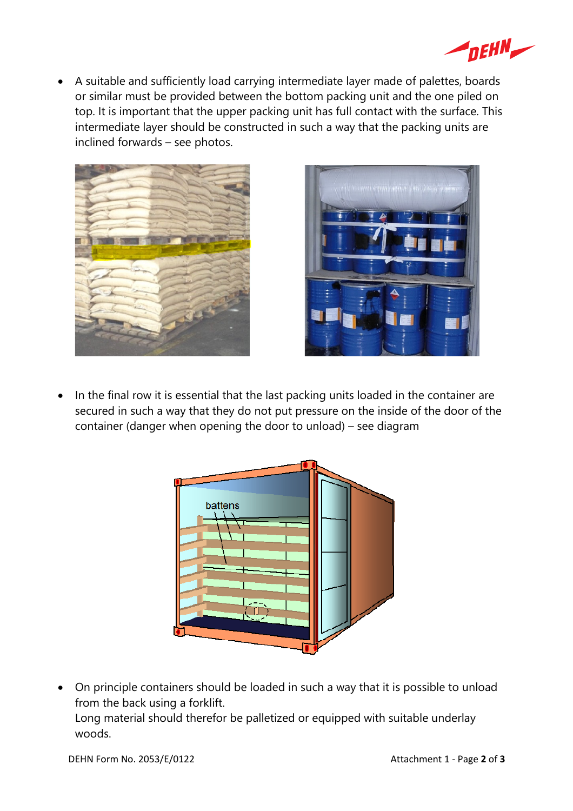

 A suitable and sufficiently load carrying intermediate layer made of palettes, boards or similar must be provided between the bottom packing unit and the one piled on top. It is important that the upper packing unit has full contact with the surface. This intermediate layer should be constructed in such a way that the packing units are inclined forwards – see photos.





• In the final row it is essential that the last packing units loaded in the container are secured in such a way that they do not put pressure on the inside of the door of the container (danger when opening the door to unload) – see diagram



 On principle containers should be loaded in such a way that it is possible to unload from the back using a forklift. Long material should therefor be palletized or equipped with suitable underlay woods.